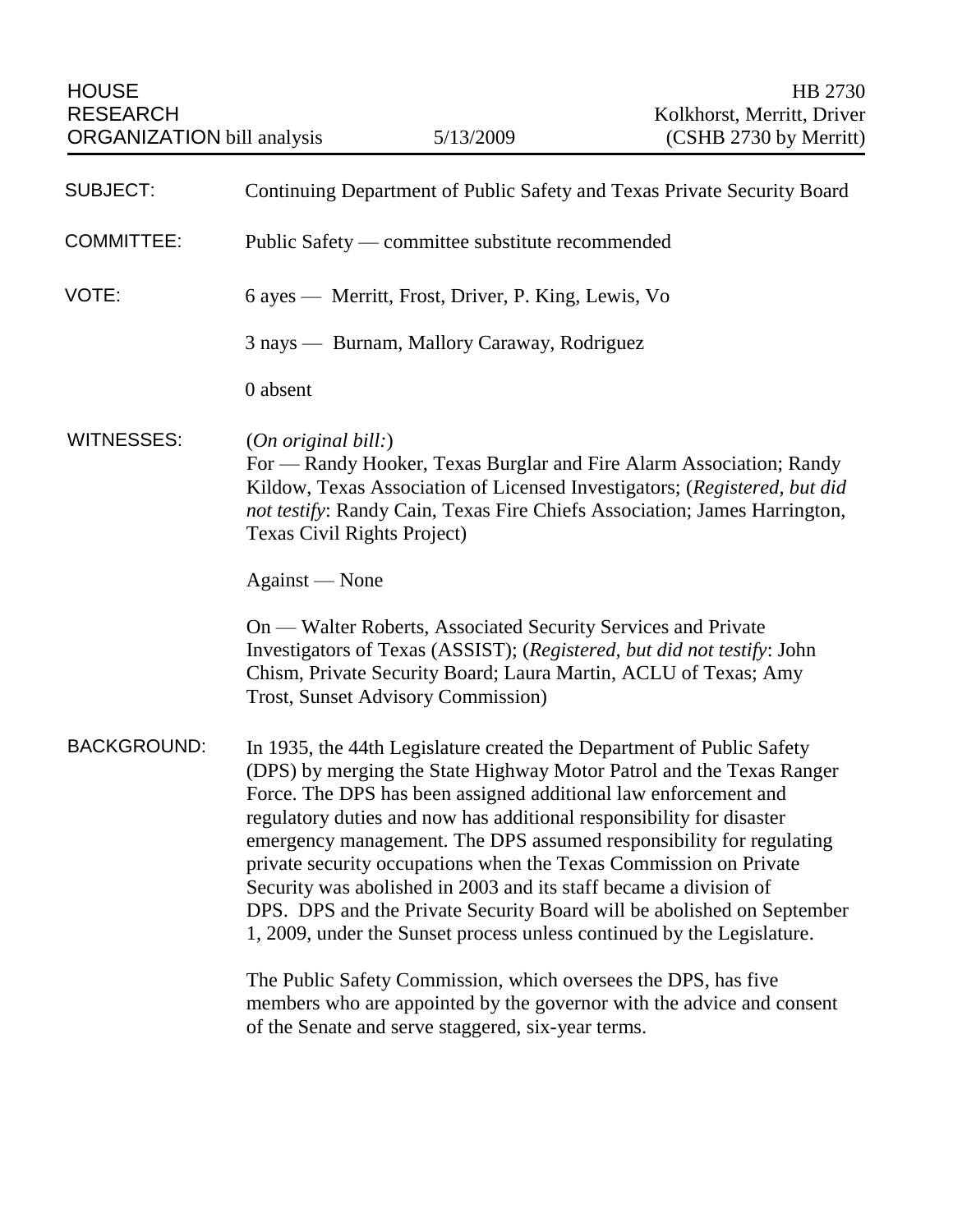HOUSE HB 2730 RESEARCH Kolkhorst, Merritt, Driver ORGANIZATION bill analysis 5/13/2009 (CSHB 2730 by Merritt) SUBJECT: Continuing Department of Public Safety and Texas Private Security Board COMMITTEE: Public Safety — committee substitute recommended VOTE: 6 ayes — Merritt, Frost, Driver, P. King, Lewis, Vo 3 nays — Burnam, Mallory Caraway, Rodriguez 0 absent WITNESSES: (*On original bill:*) For — Randy Hooker, Texas Burglar and Fire Alarm Association; Randy Kildow, Texas Association of Licensed Investigators; (*Registered, but did not testify*: Randy Cain, Texas Fire Chiefs Association; James Harrington, Texas Civil Rights Project) Against — None On — Walter Roberts, Associated Security Services and Private Investigators of Texas (ASSIST); (*Registered, but did not testify*: John Chism, Private Security Board; Laura Martin, ACLU of Texas; Amy Trost, Sunset Advisory Commission) BACKGROUND: In 1935, the 44th Legislature created the Department of Public Safety (DPS) by merging the State Highway Motor Patrol and the Texas Ranger Force. The DPS has been assigned additional law enforcement and regulatory duties and now has additional responsibility for disaster emergency management. The DPS assumed responsibility for regulating private security occupations when the Texas Commission on Private Security was abolished in 2003 and its staff became a division of DPS. DPS and the Private Security Board will be abolished on September 1, 2009, under the Sunset process unless continued by the Legislature. The Public Safety Commission, which oversees the DPS, has five members who are appointed by the governor with the advice and consent of the Senate and serve staggered, six-year terms.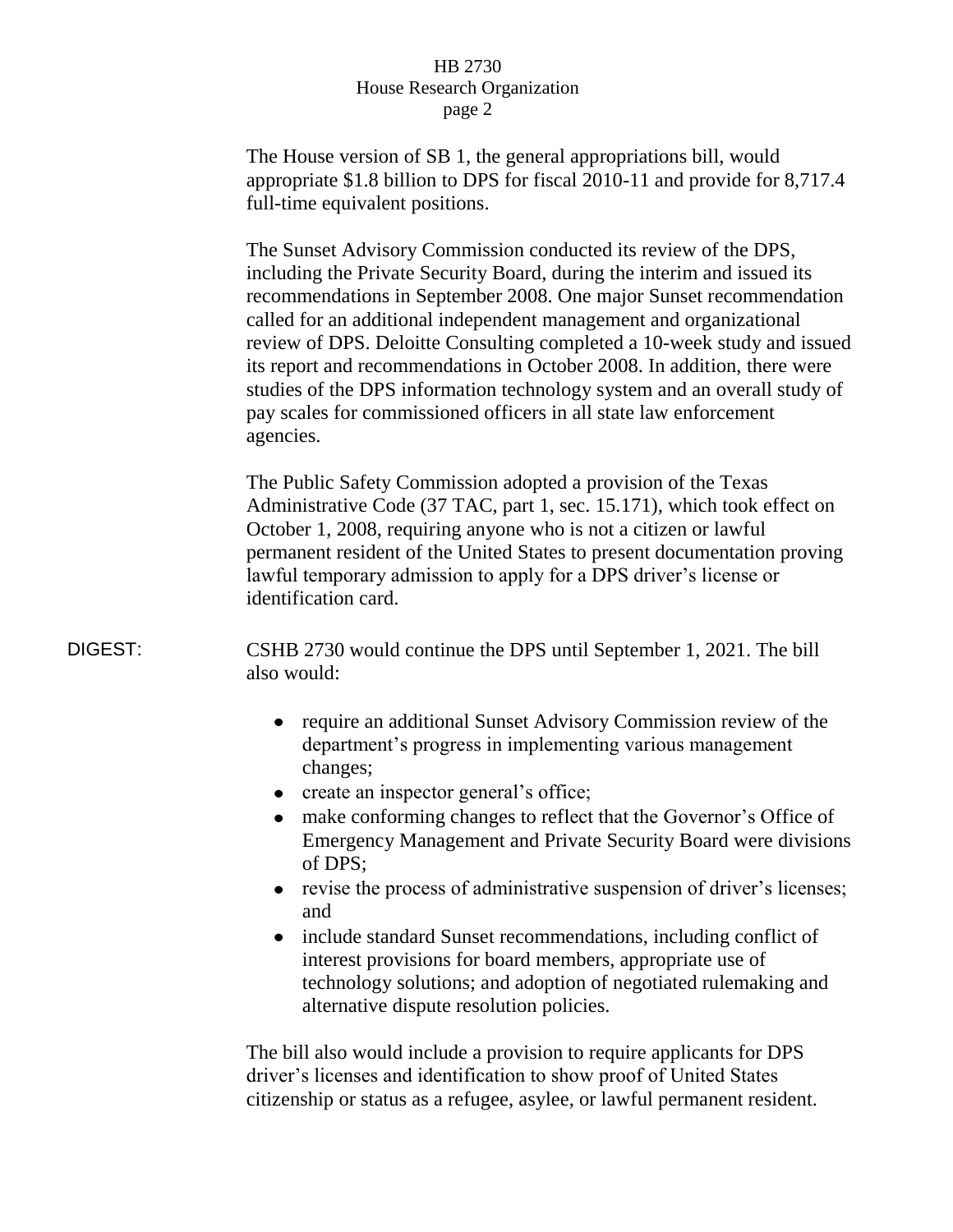The House version of SB 1, the general appropriations bill, would appropriate \$1.8 billion to DPS for fiscal 2010-11 and provide for 8,717.4 full-time equivalent positions.

The Sunset Advisory Commission conducted its review of the DPS, including the Private Security Board, during the interim and issued its recommendations in September 2008. One major Sunset recommendation called for an additional independent management and organizational review of DPS. Deloitte Consulting completed a 10-week study and issued its report and recommendations in October 2008. In addition, there were studies of the DPS information technology system and an overall study of pay scales for commissioned officers in all state law enforcement agencies.

The Public Safety Commission adopted a provision of the Texas Administrative Code (37 TAC, part 1, sec. 15.171), which took effect on October 1, 2008, requiring anyone who is not a citizen or lawful permanent resident of the United States to present documentation proving lawful temporary admission to apply for a DPS driver's license or identification card.

DIGEST: CSHB 2730 would continue the DPS until September 1, 2021. The bill also would:

- require an additional Sunset Advisory Commission review of the department's progress in implementing various management changes;
- create an inspector general's office;
- make conforming changes to reflect that the Governor's Office of  $\bullet$ Emergency Management and Private Security Board were divisions of DPS;
- revise the process of administrative suspension of driver's licenses; and
- include standard Sunset recommendations, including conflict of interest provisions for board members, appropriate use of technology solutions; and adoption of negotiated rulemaking and alternative dispute resolution policies.

The bill also would include a provision to require applicants for DPS driver's licenses and identification to show proof of United States citizenship or status as a refugee, asylee, or lawful permanent resident.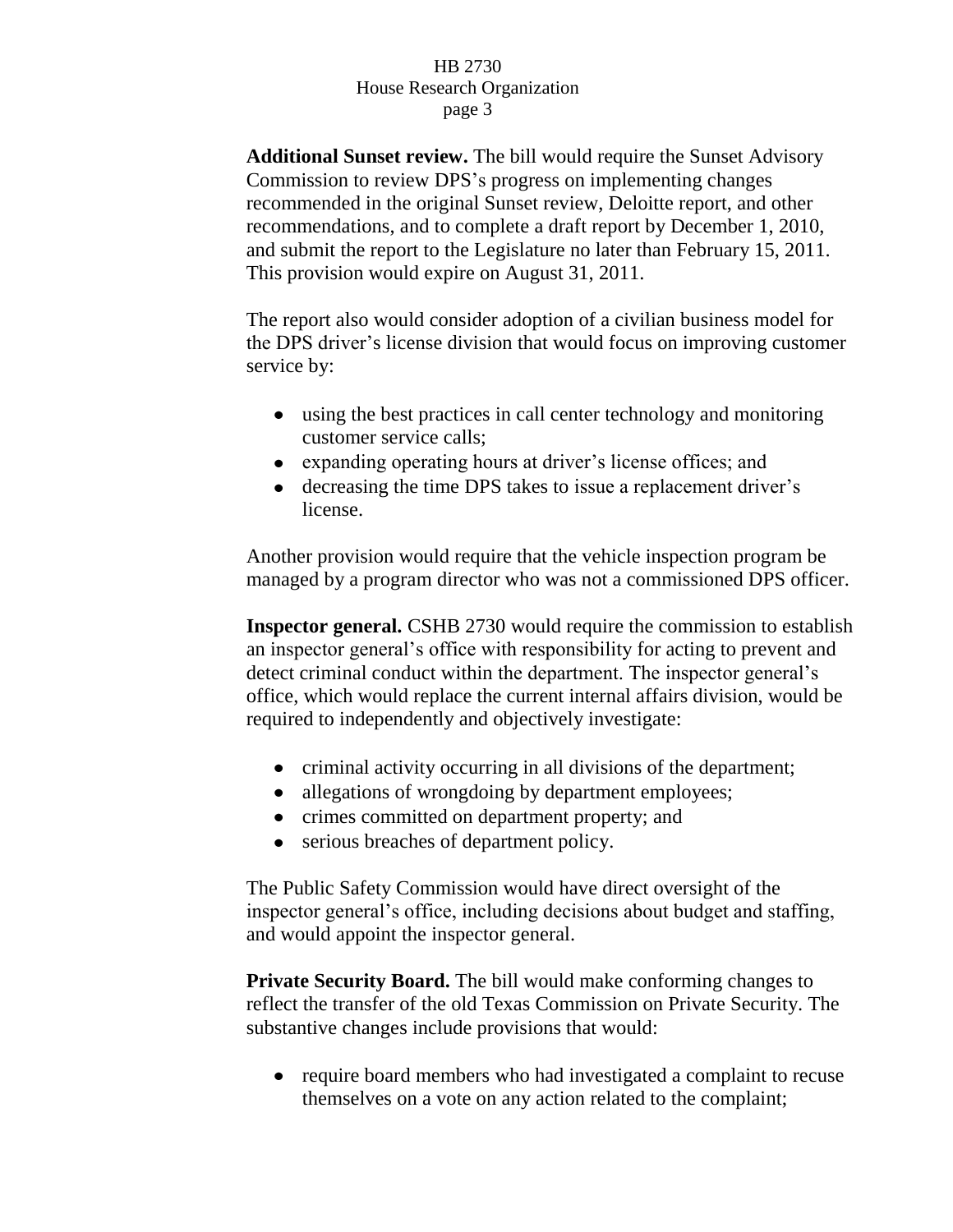**Additional Sunset review.** The bill would require the Sunset Advisory Commission to review DPS's progress on implementing changes recommended in the original Sunset review, Deloitte report, and other recommendations, and to complete a draft report by December 1, 2010, and submit the report to the Legislature no later than February 15, 2011. This provision would expire on August 31, 2011.

The report also would consider adoption of a civilian business model for the DPS driver's license division that would focus on improving customer service by:

- using the best practices in call center technology and monitoring customer service calls;
- expanding operating hours at driver's license offices; and
- decreasing the time DPS takes to issue a replacement driver's license.

Another provision would require that the vehicle inspection program be managed by a program director who was not a commissioned DPS officer.

**Inspector general.** CSHB 2730 would require the commission to establish an inspector general's office with responsibility for acting to prevent and detect criminal conduct within the department. The inspector general's office, which would replace the current internal affairs division, would be required to independently and objectively investigate:

- criminal activity occurring in all divisions of the department;
- allegations of wrongdoing by department employees;
- crimes committed on department property; and
- serious breaches of department policy.

The Public Safety Commission would have direct oversight of the inspector general's office, including decisions about budget and staffing, and would appoint the inspector general.

**Private Security Board.** The bill would make conforming changes to reflect the transfer of the old Texas Commission on Private Security. The substantive changes include provisions that would:

• require board members who had investigated a complaint to recuse themselves on a vote on any action related to the complaint;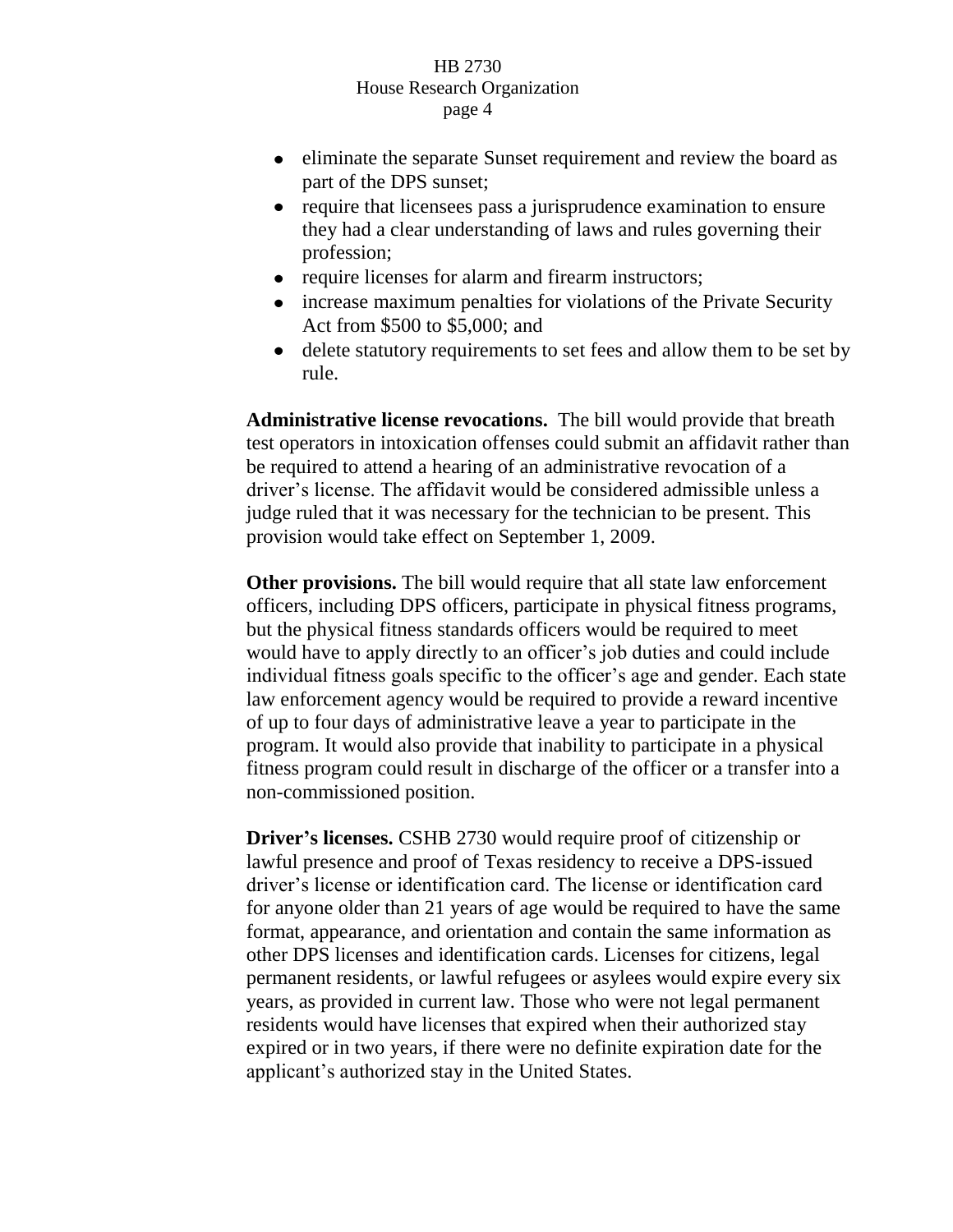- eliminate the separate Sunset requirement and review the board as part of the DPS sunset;
- require that licensees pass a jurisprudence examination to ensure they had a clear understanding of laws and rules governing their profession;
- require licenses for alarm and firearm instructors;
- increase maximum penalties for violations of the Private Security Act from \$500 to \$5,000; and
- delete statutory requirements to set fees and allow them to be set by rule.

**Administrative license revocations.** The bill would provide that breath test operators in intoxication offenses could submit an affidavit rather than be required to attend a hearing of an administrative revocation of a driver's license. The affidavit would be considered admissible unless a judge ruled that it was necessary for the technician to be present. This provision would take effect on September 1, 2009.

**Other provisions.** The bill would require that all state law enforcement officers, including DPS officers, participate in physical fitness programs, but the physical fitness standards officers would be required to meet would have to apply directly to an officer's job duties and could include individual fitness goals specific to the officer's age and gender. Each state law enforcement agency would be required to provide a reward incentive of up to four days of administrative leave a year to participate in the program. It would also provide that inability to participate in a physical fitness program could result in discharge of the officer or a transfer into a non-commissioned position.

**Driver's licenses.** CSHB 2730 would require proof of citizenship or lawful presence and proof of Texas residency to receive a DPS-issued driver's license or identification card. The license or identification card for anyone older than 21 years of age would be required to have the same format, appearance, and orientation and contain the same information as other DPS licenses and identification cards. Licenses for citizens, legal permanent residents, or lawful refugees or asylees would expire every six years, as provided in current law. Those who were not legal permanent residents would have licenses that expired when their authorized stay expired or in two years, if there were no definite expiration date for the applicant's authorized stay in the United States.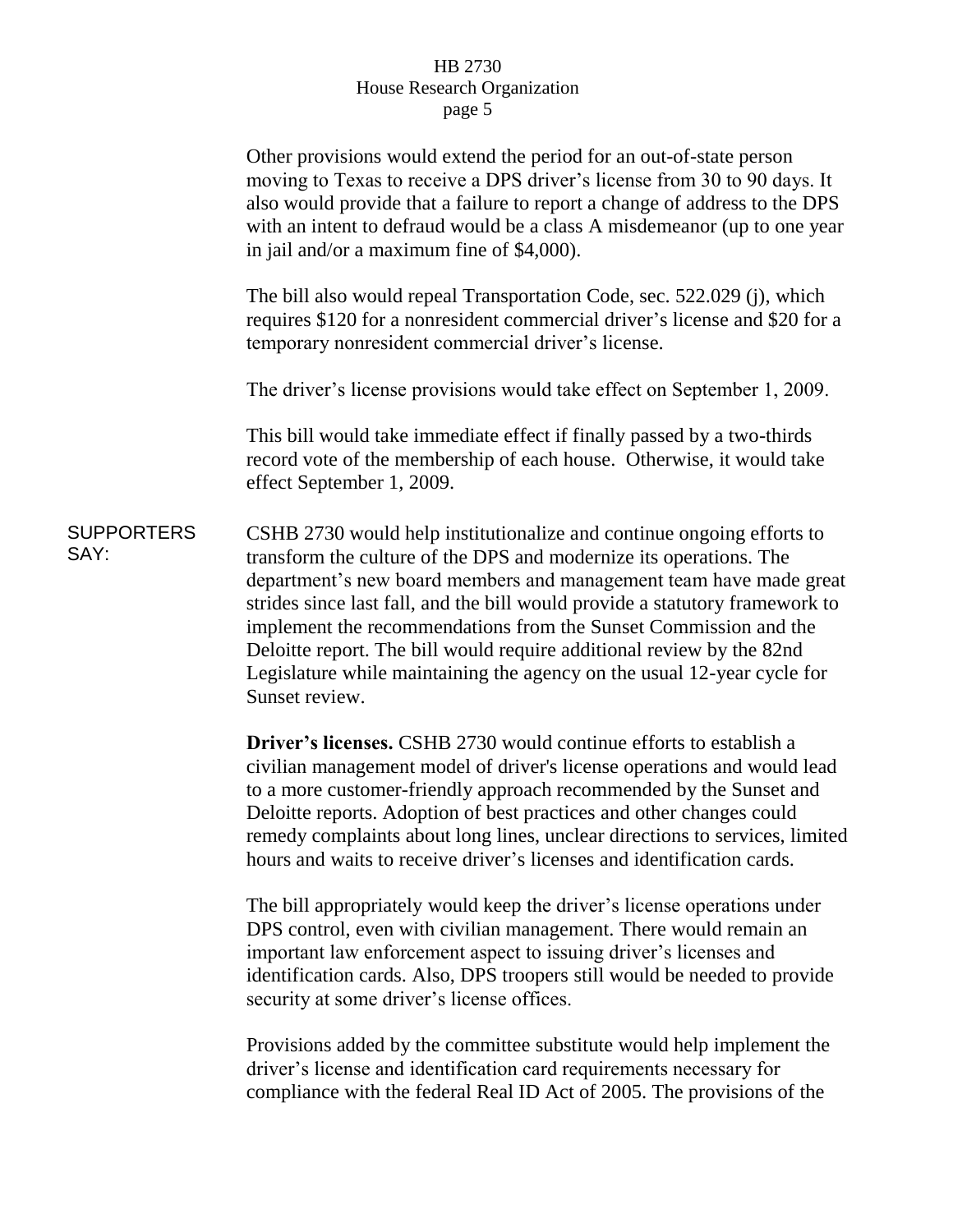|                           | Other provisions would extend the period for an out-of-state person<br>moving to Texas to receive a DPS driver's license from 30 to 90 days. It<br>also would provide that a failure to report a change of address to the DPS<br>with an intent to defraud would be a class A misdemeanor (up to one year<br>in jail and/or a maximum fine of \$4,000).                                                                                                                                                                                     |
|---------------------------|---------------------------------------------------------------------------------------------------------------------------------------------------------------------------------------------------------------------------------------------------------------------------------------------------------------------------------------------------------------------------------------------------------------------------------------------------------------------------------------------------------------------------------------------|
|                           | The bill also would repeal Transportation Code, sec. 522.029 (j), which<br>requires \$120 for a nonresident commercial driver's license and \$20 for a<br>temporary nonresident commercial driver's license.                                                                                                                                                                                                                                                                                                                                |
|                           | The driver's license provisions would take effect on September 1, 2009.                                                                                                                                                                                                                                                                                                                                                                                                                                                                     |
|                           | This bill would take immediate effect if finally passed by a two-thirds<br>record vote of the membership of each house. Otherwise, it would take<br>effect September 1, 2009.                                                                                                                                                                                                                                                                                                                                                               |
| <b>SUPPORTERS</b><br>SAY: | CSHB 2730 would help institutionalize and continue ongoing efforts to<br>transform the culture of the DPS and modernize its operations. The<br>department's new board members and management team have made great<br>strides since last fall, and the bill would provide a statutory framework to<br>implement the recommendations from the Sunset Commission and the<br>Deloitte report. The bill would require additional review by the 82nd<br>Legislature while maintaining the agency on the usual 12-year cycle for<br>Sunset review. |
|                           | <b>Driver's licenses.</b> CSHB 2730 would continue efforts to establish a<br>civilian management model of driver's license operations and would lead<br>to a more customer-friendly approach recommended by the Sunset and<br>Deloitte reports. Adoption of best practices and other changes could<br>remedy complaints about long lines, unclear directions to services, limited<br>hours and waits to receive driver's licenses and identification cards.                                                                                 |
|                           | The bill appropriately would keep the driver's license operations under<br>DPS control, even with civilian management. There would remain an<br>important law enforcement aspect to issuing driver's licenses and<br>identification cards. Also, DPS troopers still would be needed to provide<br>security at some driver's license offices.                                                                                                                                                                                                |
|                           | Provisions added by the committee substitute would help implement the                                                                                                                                                                                                                                                                                                                                                                                                                                                                       |

driver's license and identification card requirements necessary for compliance with the federal Real ID Act of 2005. The provisions of the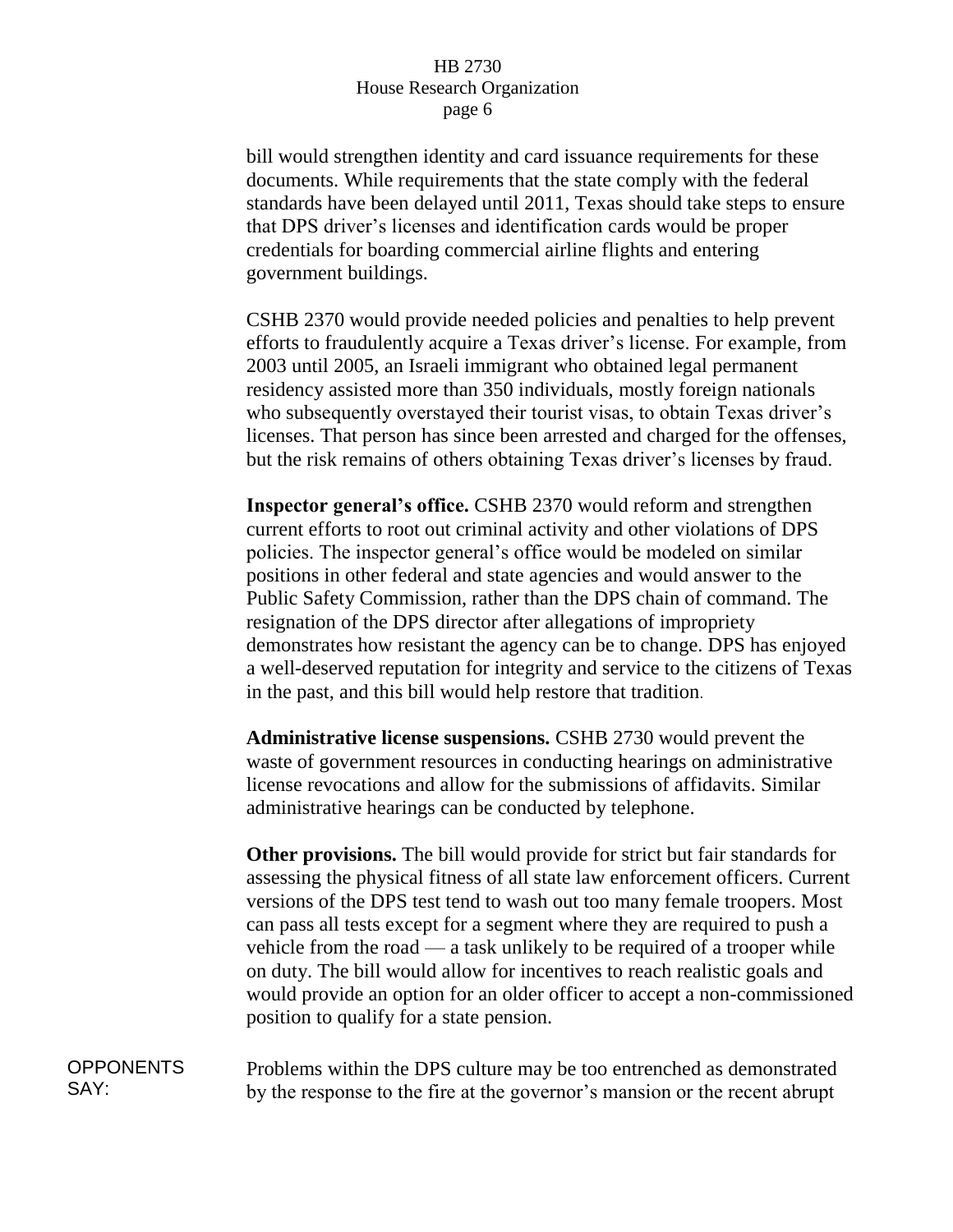bill would strengthen identity and card issuance requirements for these documents. While requirements that the state comply with the federal standards have been delayed until 2011, Texas should take steps to ensure that DPS driver's licenses and identification cards would be proper credentials for boarding commercial airline flights and entering government buildings.

CSHB 2370 would provide needed policies and penalties to help prevent efforts to fraudulently acquire a Texas driver's license. For example, from 2003 until 2005, an Israeli immigrant who obtained legal permanent residency assisted more than 350 individuals, mostly foreign nationals who subsequently overstayed their tourist visas, to obtain Texas driver's licenses. That person has since been arrested and charged for the offenses, but the risk remains of others obtaining Texas driver's licenses by fraud.

**Inspector general's office.** CSHB 2370 would reform and strengthen current efforts to root out criminal activity and other violations of DPS policies. The inspector general's office would be modeled on similar positions in other federal and state agencies and would answer to the Public Safety Commission, rather than the DPS chain of command. The resignation of the DPS director after allegations of impropriety demonstrates how resistant the agency can be to change. DPS has enjoyed a well-deserved reputation for integrity and service to the citizens of Texas in the past, and this bill would help restore that tradition.

**Administrative license suspensions.** CSHB 2730 would prevent the waste of government resources in conducting hearings on administrative license revocations and allow for the submissions of affidavits. Similar administrative hearings can be conducted by telephone.

**Other provisions.** The bill would provide for strict but fair standards for assessing the physical fitness of all state law enforcement officers. Current versions of the DPS test tend to wash out too many female troopers. Most can pass all tests except for a segment where they are required to push a vehicle from the road — a task unlikely to be required of a trooper while on duty. The bill would allow for incentives to reach realistic goals and would provide an option for an older officer to accept a non-commissioned position to qualify for a state pension.

OPPONENTS SAY: Problems within the DPS culture may be too entrenched as demonstrated by the response to the fire at the governor's mansion or the recent abrupt